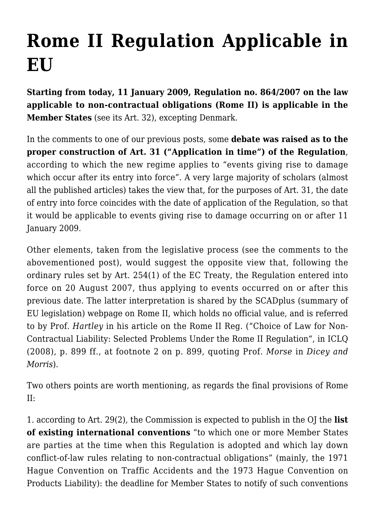## **[Rome II Regulation Applicable in](https://conflictoflaws.net/2009/rome-ii-regulation-applicable-in-eu/) [EU](https://conflictoflaws.net/2009/rome-ii-regulation-applicable-in-eu/)**

**Starting from today, 11 January 2009, [Regulation no. 864/2007](http://eur-lex.europa.eu/LexUriServ/LexUriServ.do?uri=OJ:L:2007:199:0040:01:EN:HTML) on the law applicable to non-contractual obligations (Rome II) is applicable in the Member States** (see its Art. 32), excepting Denmark.

In the comments to [one](https://conflictoflaws.de/2007/rome-ii-and-small-claims-regulations-published-in-the-official-journal/) of our previous posts, some **debate was raised as to the proper construction of Art. 31 ("Application in time") of the Regulation**, according to which the new regime applies to "events giving rise to damage which occur after its entry into force". A very large majority of scholars (almost all the published articles) takes the view that, for the purposes of Art. 31, the date of entry into force coincides with the date of application of the Regulation, so that it would be applicable to events giving rise to damage occurring on or after 11 January 2009.

Other elements, taken from the legislative process (see the comments to the abovementioned [post\)](https://conflictoflaws.de/2007/rome-ii-and-small-claims-regulations-published-in-the-official-journal/), would suggest the opposite view that, following the ordinary rules set by Art. 254(1) of the EC Treaty, the Regulation entered into force on 20 August 2007, thus applying to events occurred on or after this previous date. The latter interpretation is shared by the SCADplus (summary of EU legislation) [webpage](http://europa.eu/scadplus/leg/en/lvb/l16027.htm) on Rome II, which holds no official value, and is referred to by Prof. *Hartley* in his article on the Rome II Reg. ("[Choice of Law for Non-](http://journals.cambridge.org/action/displayAbstract?fromPage=online&aid=2704344&fulltextType=RA&fileId=S0020589308000638)[Contractual Liability: Selected Problems Under the Rome II Regulation"](http://journals.cambridge.org/action/displayAbstract?fromPage=online&aid=2704344&fulltextType=RA&fileId=S0020589308000638), in ICLQ (2008), p. 899 ff., at footnote 2 on p. 899, quoting Prof. *Morse* in *Dicey and Morris*).

Two others points are worth mentioning, as regards the final provisions of Rome II:

1. according to Art. 29(2), the Commission is expected to publish in the OJ the **list of existing international conventions** "to which one or more Member States are parties at the time when this Regulation is adopted and which lay down conflict-of-law rules relating to non-contractual obligations" (mainly, the 1971 [Hague Convention on Traffic Accidents](http://www.hcch.net/index_en.php?act=conventions.text&cid=81) and the 1973 [Hague Convention on](http://www.hcch.net/index_en.php?act=conventions.text&cid=84) [Products Liability\)](http://www.hcch.net/index_en.php?act=conventions.text&cid=84): the deadline for Member States to notify of such conventions